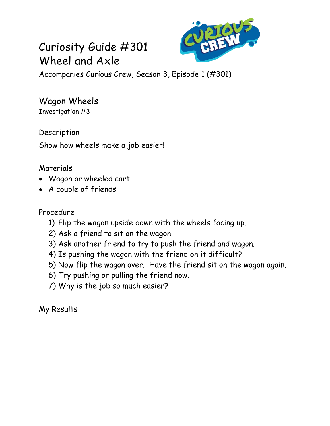# Curiosity Guide #301 Wheel and Axle



Accompanies Curious Crew, Season 3, Episode 1 (#301)

Wagon Wheels Investigation #3

Description Show how wheels make a job easier!

#### Materials

- Wagon or wheeled cart
- A couple of friends

### Procedure

- 1) Flip the wagon upside down with the wheels facing up.
- 2) Ask a friend to sit on the wagon.
- 3) Ask another friend to try to push the friend and wagon.
- 4) Is pushing the wagon with the friend on it difficult?
- 5) Now flip the wagon over. Have the friend sit on the wagon again.
- 6) Try pushing or pulling the friend now.
- 7) Why is the job so much easier?

My Results